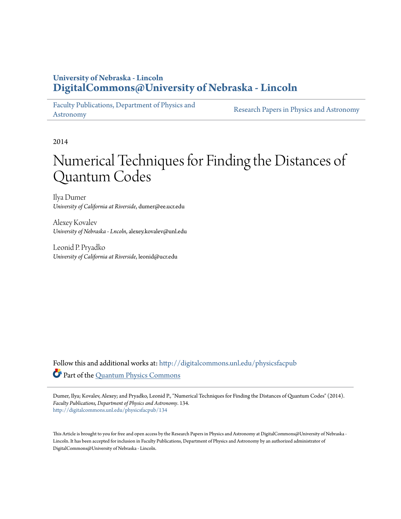# **University of Nebraska - Lincoln [DigitalCommons@University of Nebraska - Lincoln](http://digitalcommons.unl.edu?utm_source=digitalcommons.unl.edu%2Fphysicsfacpub%2F134&utm_medium=PDF&utm_campaign=PDFCoverPages)**

[Faculty Publications, Department of Physics and](http://digitalcommons.unl.edu/physicsfacpub?utm_source=digitalcommons.unl.edu%2Fphysicsfacpub%2F134&utm_medium=PDF&utm_campaign=PDFCoverPages) [Astronomy](http://digitalcommons.unl.edu/physicsfacpub?utm_source=digitalcommons.unl.edu%2Fphysicsfacpub%2F134&utm_medium=PDF&utm_campaign=PDFCoverPages)

[Research Papers in Physics and Astronomy](http://digitalcommons.unl.edu/physicsresearch?utm_source=digitalcommons.unl.edu%2Fphysicsfacpub%2F134&utm_medium=PDF&utm_campaign=PDFCoverPages)

2014

# Numerical Techniques for Finding the Distances of Quantum Codes

Ilya Dumer *University of California at Riverside*, dumer@ee.ucr.edu

Alexey Kovalev *University of Nebraska - Lncoln*, alexey.kovalev@unl.edu

Leonid P. Pryadko *University of California at Riverside*, leonid@ucr.edu

Follow this and additional works at: [http://digitalcommons.unl.edu/physicsfacpub](http://digitalcommons.unl.edu/physicsfacpub?utm_source=digitalcommons.unl.edu%2Fphysicsfacpub%2F134&utm_medium=PDF&utm_campaign=PDFCoverPages) Part of the [Quantum Physics Commons](http://network.bepress.com/hgg/discipline/206?utm_source=digitalcommons.unl.edu%2Fphysicsfacpub%2F134&utm_medium=PDF&utm_campaign=PDFCoverPages)

Dumer, Ilya; Kovalev, Alexey; and Pryadko, Leonid P., "Numerical Techniques for Finding the Distances of Quantum Codes" (2014). *Faculty Publications, Department of Physics and Astronomy*. 134. [http://digitalcommons.unl.edu/physicsfacpub/134](http://digitalcommons.unl.edu/physicsfacpub/134?utm_source=digitalcommons.unl.edu%2Fphysicsfacpub%2F134&utm_medium=PDF&utm_campaign=PDFCoverPages)

This Article is brought to you for free and open access by the Research Papers in Physics and Astronomy at DigitalCommons@University of Nebraska - Lincoln. It has been accepted for inclusion in Faculty Publications, Department of Physics and Astronomy by an authorized administrator of DigitalCommons@University of Nebraska - Lincoln.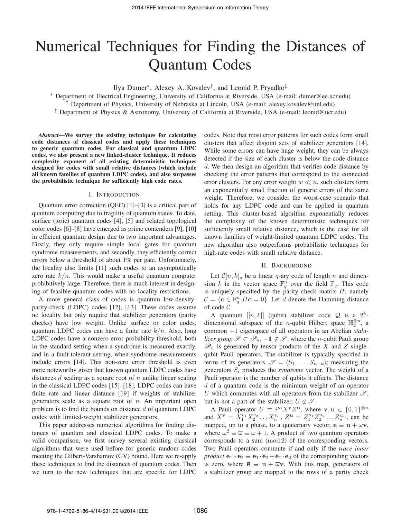# Numerical Techniques for Finding the Distances of Quantum Codes

Ilya Dumer∗, Alexey A. Kovalev†, and Leonid P. Pryadko‡

∗ Department of Electrical Engineering, University of California at Riverside, USA (e-mail: dumer@ee.ucr.edu) <sup>†</sup> Department of Physics, University of Nebraska at Lincoln, USA (e-mail: alexey.kovalev@unl.edu)

‡ Department of Physics & Astronomy, University of California at Riverside, USA (e-mail: leonid@ucr.edu)

*Abstract*—We survey the existing techniques for calculating code distances of classical codes and apply these techniques to generic quantum codes. For classical and quantum LDPC codes, we also present a new linked-cluster technique. It reduces complexity exponent of all existing deterministic techniques designed for codes with small relative distances (which include all known families of quantum LDPC codes), and also surpasses the probabilistic technique for sufficiently high code rates.

### I. INTRODUCTION

Quantum error correction (QEC) [1]–[3] is a critical part of quantum computing due to fragility of quantum states. To date, surface (toric) quantum codes [4], [5] and related topological color codes [6]–[8] have emerged as prime contenders [9], [10] in efficient quantum design due to two important advantages. Firstly, they only require simple local gates for quantum syndrome measurements, and secondly, they efficiently correct errors below a threshold of about 1% per gate. Unfortunately, the locality also limits [11] such codes to an asymptotically zero rate  $k/n$ . This would make a useful quantum computer prohibitively large. Therefore, there is much interest in designing of feasible quantum codes with no locality restrictions.

A more general class of codes is quantum low-densityparity-check (LDPC) codes [12], [13]. These codes assume no locality but only require that stabilizer generators (parity checks) have low weight. Unlike surface or color codes, quantum LDPC codes can have a finite rate  $k/n$ . Also, long LDPC codes have a nonzero error probability threshold, both in the standard setting when a syndrome is measured exactly, and in a fault-tolerant setting, when syndrome measurements include errors [14]. This non-zero error threshold is even more noteworthy given that known quantum LDPC codes have distances  $d$  scaling as a square root of  $n$  unlike linear scaling in the classical LDPC codes [15]–[18]. LDPC codes can have finite rate and linear distance [19] if weights of stabilizer generators scale as a square root of  $n$ . An important open problem is to find the bounds on distance  $d$  of quantum LDPC codes with limited-weight stabilizer generators.

This paper addresses numerical algorithms for finding distances of quantum and classical LDPC codes. To make a valid comparison, we first survey several existing classical algorithms that were used before for generic random codes meeting the Gilbert-Varshamov (GV) bound. Here we re-apply these techniques to find the distances of quantum codes. Then we turn to the new techniques that are specific for LDPC codes. Note that most error patterns for such codes form small clusters that affect disjoint sets of stabilizer generators [14]. While some errors can have huge weight, they can be always detected if the size of each cluster is below the code distance d. We then design an algorithm that verifies code distance by checking the error patterns that correspond to the connected error clusters. For any error weight  $w \ll n$ , such clusters form an exponentially small fraction of generic errors of the same weight. Therefore, we consider the worst-case scenario that holds for any LDPC code and can be applied in quantum setting. This cluster-based algorithm exponentially reduces the complexity of the known deterministic techniques for sufficiently small relative distance, which is the case for all known families of weight-limited quantum LDPC codes. The new algorithm also outperforms probabilistic techniques for high-rate codes with small relative distance.

## II. BACKGROUND

Let  $C[n, k]_q$  be a linear q-ary code of length n and dimension k in the vector space  $\mathbb{F}_q^n$  over the field  $\mathbb{F}_q$ . This code is uniquely specified by the parity check matrix  $H$ , namely  $C = \{ \mathbf{c} \in \mathbb{F}_q^n | H\mathbf{c} = 0 \}$ . Let d denote the Hamming distance of code C.

A quantum  $[[n, k]]$  (qubit) stabilizer code Q is a  $2^k$ dimensional subspace of the *n*-qubit Hilbert space  $\mathbb{H}_2^{\otimes n}$ , a common +1 eigenspace of all operators in an Abelian *stabilizer group*  $\mathscr{S} \subset \mathscr{P}_n$ ,  $-1 \notin \mathscr{S}$ , where the *n*-qubit Pauli group  $\mathscr{P}_n$  is generated by tensor products of the X and Z singlequbit Pauli operators. The stabilizer is typically specified in terms of its generators,  $\mathscr{S} = \langle S_1, \ldots, S_{n-k} \rangle$ ; measuring the generators  $S_i$  produces the *syndrome* vector. The weight of a Pauli operator is the number of qubits it affects. The distance  $d$  of a quantum code is the minimum weight of an operator U which commutes with all operators from the stabilizer  $\mathscr{S}$ , but is not a part of the stabilizer,  $U \notin \mathscr{S}$ .

A Pauli operator  $U \equiv i^m X^{\mathbf{v}} Z^{\mathbf{u}}$ , where  $\mathbf{v}, \mathbf{u} \in \{0, 1\}^{\otimes n}$ and  $X^{\mathbf{v}} = X_1^{v_1} X_2^{v_2} \dots X_n^{v_n}$ ,  $Z^{\mathbf{u}} = Z_1^{u_1} Z_2^{u_2} \dots Z_n^{u_n}$ , can be mapped, up to a phase, to a quaternary vector,  $\mathbf{e} \equiv \mathbf{u} + \omega \mathbf{v}$ , where  $\omega^2 \equiv \overline{\omega} \equiv \omega + 1$ . A product of two quantum operators corresponds to a sum (mod 2) of the corresponding vectors. Two Pauli operators commute if and only if the *trace inner product*  $\mathbf{e}_1 * \mathbf{e}_2 \equiv \mathbf{e}_1 \cdot \overline{\mathbf{e}}_2 + \overline{\mathbf{e}}_1 \cdot \mathbf{e}_2$  of the corresponding vectors is zero, where  $\overline{e} \equiv u + \overline{\omega}v$ . With this map, generators of a stabilizer group are mapped to the rows of a parity check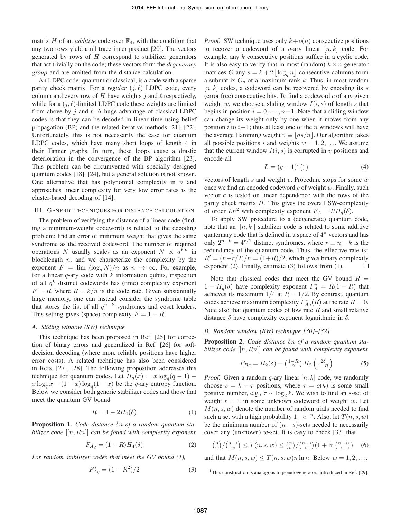matrix H of an *additive* code over  $\mathbb{F}_4$ , with the condition that any two rows yield a nil trace inner product [20]. The vectors generated by rows of  $H$  correspond to stabilizer generators that act trivially on the code; these vectors form the *degeneracy group* and are omitted from the distance calculation.

An LDPC code, quantum or classical, is a code with a sparse parity check matrix. For a *regular*  $(j, \ell)$  LDPC code, every column and every row of H have weights j and  $\ell$  respectively, while for a  $(j, \ell)$ -limited LDPC code these weights are limited from above by  $j$  and  $\ell$ . A huge advantage of classical LDPC codes is that they can be decoded in linear time using belief propagation (BP) and the related iterative methods [21], [22]. Unfortunately, this is not necessarily the case for quantum LDPC codes, which have many short loops of length 4 in their Tanner graphs. In turn, these loops cause a drastic deterioration in the convergence of the BP algorithm [23]. This problem can be circumvented with specially designed quantum codes [18], [24], but a general solution is not known. One alternative that has polynomial complexity in  $n$  and approaches linear complexity for very low error rates is the cluster-based decoding of [14].

#### III. GENERIC TECHNIQUES FOR DISTANCE CALCULATION

The problem of verifying the distance of a linear code (finding a minimum-weight codeword) is related to the decoding problem: find an error of minimum weight that gives the same syndrome as the received codeword. The number of required operations N usually scales as an exponent  $N \propto q^{Fn}$  in blocklength  $n$ , and we characterize the complexity by the exponent  $F = \overline{\lim} (\log_q N)/n$  as  $n \to \infty$ . For example, for a linear  $q$ -ary code with  $k$  information qubits, inspection of all  $q^k$  distinct codewords has (time) complexity exponent  $F = R$ , where  $R = k/n$  is the code rate. Given substantially large memory, one can instead consider the syndrome table that stores the list of all  $q^{n-k}$  syndromes and coset leaders. This setting gives (space) complexity  $F = 1 - R$ .

### *A. Sliding window (SW) technique*

This technique has been proposed in Ref. [25] for correction of binary errors and generalized in Ref. [26] for softdecision decoding (where more reliable positions have higher error costs). A related technique has also been considered in Refs. [27], [28]. The following proposition addresses this technique for quantum codes. Let  $H_q(x) = x \log_q(q-1)$  –  $x \log_q x - (1-x) \log_q(1-x)$  be the q-ary entropy function. Below we consider both generic stabilizer codes and those that meet the quantum GV bound

$$
R = 1 - 2H_4(\delta) \tag{1}
$$

Proposition 1. *Code distance* δn *of a random quantum stabilizer code* [[n, Rn]] *can be found with complexity exponent*

$$
F_{Aq} = (1+R)H_4(\delta)
$$
 (2)

*For random stabilizer codes that meet the GV bound (1),*

$$
F_{Aq}^{*} = (1 - R^2)/2 \tag{3}
$$

*Proof.* SW technique uses only  $k+o(n)$  consecutive positions to recover a codeword of a q-ary linear  $[n, k]$  code. For example, any k consecutive positions suffice in a cyclic code. It is also easy to verify that in most (random)  $k \times n$  generator matrices G any  $s = k + 2 \lfloor \log_q n \rfloor$  consecutive columns form a submatrix  $G_s$  of a maximum rank k. Thus, in most random  $[n, k]$  codes, a codeword can be recovered by encoding its s (error free) consecutive bits. To find a codeword  $c$  of any given weight w, we choose a sliding window  $I(i, s)$  of length s that begins in position  $i = 0, \ldots, n-1$ . Note that a sliding window can change its weight only by one when it moves from any position i to  $i+1$ ; thus at least one of the n windows will have the average Hamming weight  $v \equiv |ds/n|$ . Our algorithm takes all possible positions i and weights  $w = 1, 2, \ldots$  We assume that the current window  $I(i, s)$  is corrupted in v positions and encode all

$$
L = (q-1)^{v} \binom{s}{v} \tag{4}
$$

vectors of length  $s$  and weight  $v$ . Procedure stops for some  $w$ once we find an encoded codeword  $c$  of weight  $w$ . Finally, such vector  $c$  is tested on linear dependence with the rows of the parity check matrix  $H$ . This gives the overall SW-complexity of order  $Ln^2$  with complexity exponent  $F_A = RH_q(\delta)$ .

To apply SW procedure to a (degenerate) quantum code, note that an  $[[n, k]]$  stabilizer code is related to some additive quaternary code that is defined in a space of  $4^n$  vectors and has only  $2^{n-k} = 4^{r/2}$  distinct syndromes, where  $r \equiv n-k$  is the redundancy of the quantum code. Thus, the effective rate  $is<sup>1</sup>$  $R' = (n-r/2)/n = (1+R)/2$ , which gives binary complexity exponent (2). Finally, estimate (3) follows from (1). exponent (2). Finally, estimate (3) follows from (1).

Note that classical codes that meet the GV bound  $R =$  $1 - H_q(\delta)$  have complexity exponent  $F_A^* = R(1 - R)$  that achieves its maximum  $1/4$  at  $R = 1/2$ . By contrast, quantum codes achieve maximum complexity  $F_{Aq}^*(R)$  at the rate  $R=0$ . Note also that quantum codes of low rate  $R$  and small relative distance  $\delta$  have complexity exponent logarithmic in  $\delta$ .

# *B. Random window (RW) technique [30]–[32]*

Proposition 2. *Code distance* δn *of a random quantum stabilizer code* [[n, Rn]] *can be found with complexity exponent*

$$
F_{Bq} = H_2(\delta) - \left(\frac{1-R}{2}\right) H_2\left(\frac{2\delta}{1-R}\right) \tag{5}
$$

*Proof.* Given a random q-ary linear  $[n, k]$  code, we randomly choose  $s = k + \tau$  positions, where  $\tau = o(k)$  is some small positive number, e.g.,  $\tau \sim \log_2 k$ . We wish to find an s-set of weight  $t = 1$  in some unknown codeword of weight w. Let  $M(n, s, w)$  denote the number of random trials needed to find such a set with a high probability  $1-e^{-n}$ . Also, let  $T(n, s, w)$ be the minimum number of  $(n-s)$ -sets needed to necessarily cover any (unknown)  $w$ -set. It is easy to check [33] that

$$
\binom{n}{w} / \binom{n-s}{w} \le T(n, s, w) \le \binom{n}{w} / \binom{n-s}{w} (1 + \ln \binom{n-s}{w}) \tag{6}
$$

and that  $M(n, s, w) \leq T(n, s, w)n \ln n$ . Below  $w = 1, 2, \ldots$ .

<sup>1</sup>This construction is analogous to pseudogenerators introduced in Ref. [29].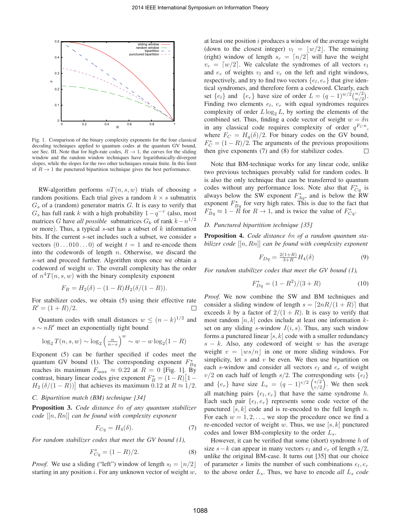

Fig. 1. Comparison of the binary complexity exponents for the four classical decoding techniques applied to quantum codes at the quantum GV bound, see Sec. III. Note that for high-rate codes,  $R \rightarrow 1$ , the curves for the sliding window and the random window techniques have logarithmically-divergent slopes, while the slopes for the two other techniques remain finite. In this limit of  $R \rightarrow 1$  the punctured bipartition technique gives the best performance.

RW-algorithm performs  $nT(n, s, w)$  trials of choosing s random positions. Each trial gives a random  $k \times s$  submatrix  $G<sub>s</sub>$  of a (random) generator matrix G. It is easy to verify that  $G_s$  has full rank k with a high probability  $1-q^{-\tau}$  (also, most matrices G have *all possible* submatrices  $G_k$  of rank  $k - n^{1/2}$ or more). Thus, a typical  $s$ -set has a subset of  $k$  information bits. If the current s-set includes such a subset, we consider s vectors  $(0...010...0)$  of weight  $t = 1$  and re-encode them into the codewords of length  $n$ . Otherwise, we discard the s-set and proceed further. Algorithm stops once we obtain a codeword of weight w. The overall complexity has the order of  $n^4T(n, s, w)$  with the binary complexity exponent

$$
F_B = H_2(\delta) - (1 - R)H_2(\delta/(1 - R)).
$$

For stabilizer codes, we obtain (5) using their effective rate  $R' = (1 + R)/2.$ 

Quantum codes with small distances  $w \leq (n - k)^{1/2}$  and  $s \sim nR'$  meet an exponentially tight bound

$$
\log_2 T(n, s, w) \sim \log_2 \left(\frac{n}{n-s}\right)^w \sim w - w \log_2(1 - R)
$$

Exponent (5) can be further specified if codes meet the quantum GV bound (1). The corresponding exponent  $F_{Bq}^*$ reaches its maximum  $F_{\text{max}} \approx 0.22$  at  $R = 0$  [Fig. 1]. By contrast, binary linear codes give exponent  $F_B^* = (1 - R) [1 H_2$  ( $\delta/(1 - R)$ ) that achieves its maximum 0.12 at  $R \approx 1/2$ .

# *C. Bipartition match (BM) technique [34]*

Proposition 3. *Code distance* δn *of any quantum stabilizer code* [[n, Rn]] *can be found with complexity exponent*

$$
F_{Cq} = H_4(\delta). \tag{7}
$$

*For random stabilizer codes that meet the GV bound (1),*

$$
F_{Cq}^* = (1 - R)/2.
$$
 (8)

*Proof.* We use a sliding ("left") window of length  $s_l = |n/2|$ starting in any position  $i$ . For any unknown vector of weight  $w$ , at least one position i produces a window of the average weight (down to the closest integer)  $v_l = |w/2|$ . The remaining (right) window of length  $s_r = \lfloor n/2 \rfloor$  will have the weight  $v_r = \lfloor w/2 \rfloor$ . We calculate the syndromes of all vectors  $e_l$ and  $e_r$  of weights  $v_l$  and  $v_r$  on the left and right windows, respectively, and try to find two vectors  $\{e_l, e_r\}$  that give identical syndromes, and therefore form a codeword. Clearly, each set  $\{e_i\}$  and  $\{e_r\}$  have size of order  $L = (q-1)^{w/2} {n/2 \choose w/2}.$ Finding two elements  $e_l$ ,  $e_r$  with equal syndromes requires complexity of order  $L \log_2 L$ , by sorting the elements of the combined set. Thus, finding a code vector of weight  $w = \delta n$ in any classical code requires complexity of order  $q^{F_{C}n}$ , where  $F_C = H_q(\delta)/2$ . For binary codes on the GV bound,  $F_C^* = (1 - R)/2$ . The arguments of the previous propositions then give exponents (7) and (8) for stabilizer codes.

Note that BM-technique works for any linear code, unlike two previous techniques provably valid for random codes. It is also the only technique that can be transferred to quantum codes without any performance loss. Note also that  $F_{Cq}^*$  is always below the SW exponent  $F_{Aq}^*$ , and is below the RW exponent  $F_{Bq}^*$  for very high rates. This is due to the fact that  $F_{Bq}^* \approx 1 - R$  for  $R \to 1$ , and is twice the value of  $F_{Cq}^*$ .

# *D. Punctured bipartition technique [35]*

Proposition 4. *Code distance* δn *of a random quantum stabilizer code* [[n, Rn]] *can be found with complexity exponent*

$$
F_{Dq} = \frac{2(1+R)}{3+R} H_4(\delta)
$$
\n(9)

*For random stabilizer codes that meet the GV bound (1),*

$$
F_{Dq}^* = (1 - R^2)/(3 + R)
$$
 (10)

*Proof.* We now combine the SW and BM techniques and consider a sliding window of length  $s = \lfloor 2nR/(1 + R) \rfloor$  that exceeds k by a factor of  $2/(1 + R)$ . It is easy to verify that most random  $[n, k]$  codes include at least one information  $k$ set on any sliding s-window  $I(i, s)$ . Thus, any such window forms a punctured linear  $[s, k]$  code with a smaller redundancy  $s - k$ . Also, any codeword of weight w has the average weight  $v = |ws/n|$  in one or more sliding windows. For simplicity, let  $s$  and  $v$  be even. We then use bipartition on each s-window and consider all vectors  $e_l$  and  $e_r$  of weight  $v/2$  on each half of length s/2. The corresponding sets  $\{e_l\}$ and  $\{e_r\}$  have size  $L_s = (q-1)^{v/2} \binom{s/2}{v/2}$ . We then seek all matching pairs  $\{e_l, e_r\}$  that have the same syndrome h. Each such pair  $\{e_l, e_r\}$  represents some code vector of the punctured  $[s, k]$  code and is re-encoded to the full length n. For each  $w = 1, 2, \ldots$ , we stop the procedure once we find a re-encoded vector of weight w. Thus, we use  $[s, k]$  punctured codes and lower BM-complexity to the order  $L_s$ .

However, it can be verified that some (short) syndrome  $h$  of size  $s-k$  can appear in many vectors  $e_l$  and  $e_r$  of length  $s/2$ , unlike the original BM-case. It turns out [35] that our choice of parameter s limits the number of such combinations  $e_l, e_r$ to the above order  $L_s$ . Thus, we have to encode *all*  $L_s$  *code*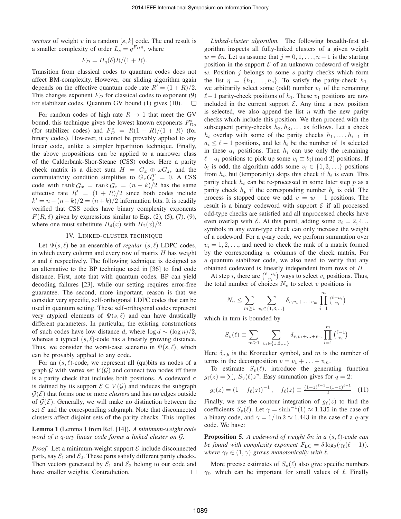*vectors* of weight v in a random  $[s, k]$  code. The end result is a smaller complexity of order  $L_s = q^{F_D n}$ , where

$$
F_D = H_q(\delta)R/(1+R).
$$

Transition from classical codes to quantum codes does not affect BM-complexity. However, our sliding algorithm again depends on the effective quantum code rate  $R' = (1 + R)/2$ . This changes exponent  $F_D$  for classical codes to exponent (9) for stabilizer codes. Quantum GV bound (1) gives (10).  $\Box$ 

For random codes of high rate  $R \to 1$  that meet the GV bound, this technique gives the lowest known exponents  $F_{Dq}^*$ (for stabilizer codes) and  $F_D^* = R(1 - R)/(1 + R)$  (for binary codes). However, it cannot be provably applied to any linear code, unlike a simpler bipartition technique. Finally, the above propositions can be applied to a narrower class of the Calderbank-Shor-Steane (CSS) codes. Here a parity check matrix is a direct sum  $H = G_x \oplus \omega G_z$ , and the commutativity condition simplifies to  $G_x G_z^T = 0$ . A CSS code with rank  $G_x = \text{rank } G_z = (n - k)/2$  has the same effective rate  $R' = (1 + R)/2$  since both codes include  $k' = n - (n - k)/2 = (n + k)/2$  information bits. It is readily verified that CSS codes have binary complexity exponents  $F(R, \delta)$  given by expressions similar to Eqs. (2), (5), (7), (9), where one must substitute  $H_4(x)$  with  $H_2(x)/2$ .

#### IV. LINKED-CLUSTER TECHNIQUE

Let  $\Psi(s, \ell)$  be an ensemble of *regular*  $(s, \ell)$  LDPC codes, in which every column and every row of matrix  $H$  has weight s and  $\ell$  respectively. The following technique is designed as an alternative to the BP technique used in [36] to find code distance. First, note that with quantum codes, BP can yield decoding failures [23], while our setting requires error-free guarantee. The second, more important, reason is that we consider very specific, self-orthogonal LDPC codes that can be used in quantum setting. These self-orthogonal codes represent very atypical elements of  $\Psi(s, \ell)$  and can have drastically different parameters. In particular, the existing constructions of such codes have low distance d, where  $\log d \sim (\log n)/2$ , whereas a typical  $(s, \ell)$ -code has a linearly growing distance. Thus, we consider the worst-case scenario in  $\Psi(s, \ell)$ , which can be provably applied to any code.

For an  $(s, \ell)$ -code, we represent all (qu) bits as nodes of a graph  $G$  with vertex set  $V(G)$  and connect two nodes iff there is a parity check that includes both positions. A codeword **c** is defined by its support  $\mathcal{E} \subseteq V(\mathcal{G})$  and induces the subgraph  $\mathcal{G}(\mathcal{E})$  that forms one or more *clusters* and has no edges outside of  $\mathcal{G}(\mathcal{E})$ . Generally, we will make no distinction between the set  $\mathcal E$  and the corresponding subgraph. Note that disconnected clusters affect disjoint sets of the parity checks. This implies

Lemma 1 (Lemma 1 from Ref. [14]). *A minimum-weight code word of a* q*-ary linear code forms a linked cluster on* G*.*

*Proof.* Let a minimum-weight support  $\mathcal E$  include disconnected parts, say  $\mathcal{E}_1$  and  $\mathcal{E}_2$ . These parts satisfy different parity checks. Then vectors generated by  $\mathcal{E}_1$  and  $\mathcal{E}_2$  belong to our code and have smaller weights. Contradiction. have smaller weights. Contradiction.

*Linked-cluster algorithm.* The following breadth-first algorithm inspects all fully-linked clusters of a given weight  $w = \delta n$ . Let us assume that  $j = 0, 1, \ldots, n - 1$  is the starting position in the support  $\mathcal E$  of an unknown codeword of weight  $w$ . Position  $j$  belongs to some  $s$  parity checks which form the list  $\eta = \{h_1, \ldots, h_s\}$ . To satisfy the parity-check  $h_1$ , we arbitrarily select some (odd) number  $v_1$  of the remaining  $\ell-1$  parity-check positions of  $h_1$ . These  $v_1$  positions are now included in the current support  $\mathcal{E}$ . Any time a new position is selected, we also append the list  $\eta$  with the new parity checks which include this position. We then proceed with the subsequent parity-checks  $h_2, h_3, \ldots$  as follows. Let a check  $h_i$  overlap with some of the parity checks  $h_1, \ldots, h_{i-1}$  in  $a_i \leq \ell - 1$  positions, and let  $b_i$  be the number of 1s selected in these  $a_i$  positions. Then  $h_i$  can use only the remaining  $\ell - a_i$  positions to pick up some  $v_i \equiv b_i \pmod{2}$  positions. If  $b_i$  is odd, the algorithm adds some  $v_i \in \{1, 3, ...\}$  positions from  $h_i$ , but (temporarily) skips this check if  $b_i$  is even. This parity check  $h_i$  can be re-processed in some later step p as a parity check  $h_p$  if the corresponding number  $b_p$  is odd. The process is stopped once we add  $v = w - 1$  positions. The result is a binary codeword with support  $\mathcal E$  if all processed odd-type checks are satisfied and all unprocessed checks have even overlap with  $\mathcal E$ . At this point, adding some  $v_i = 2, 4, ...$ symbols in any even-type check can only increase the weight of a codeword. For a  $q$ -ary code, we perform summation over  $v_i = 1, 2, \ldots$ , and need to check the rank of a matrix formed by the corresponding  $w$  columns of the check matrix. For a quantum stabilizer code, we also need to verify that any obtained codeword is linearly independent from rows of H.

At step *i*, there are  $\binom{\ell - a_i}{v_i}$  ways to select  $v_i$  positions. Thus, the total number of choices  $N_v$  to select v positions is

$$
N_v \leq \sum_{m \geq 1} \sum_{v_i \in \{1, 3, \dots\}} \delta_{v, v_1 + \dots + v_m} \prod_{i=1}^m {\ell - a_i \choose v_i}
$$

which in turn is bounded by

$$
S_{v}(\ell) \equiv \sum_{m \ge 1} \sum_{v_i \in \{1, 3, \dots\}} \delta_{v, v_1 + \dots + v_m} \prod_{i=1}^m {\ell - 1 \choose v_i}
$$

Here  $\delta_{a,b}$  is the Kronecker symbol, and m is the number of terms in the decomposition  $v = v_1 + \ldots + v_m$ .

To estimate  $S_v(\ell)$ , introduce the generating function  $g_{\ell}(z) = \sum_{v} S_{v}(\ell) z^{v}$ . Easy summation gives for  $q = 2$ :

$$
g_{\ell}(z) = (1 - f_{\ell}(z))^{-1}, \quad f_{\ell}(z) \equiv \frac{(1+z)^{\ell-1} - (1-z)^{\ell-1}}{2}
$$
 (11)

Finally, we use the contour integration of  $g_{\ell}(z)$  to find the coefficients  $S_v(\ell)$ . Let  $\gamma = \sinh^{-1}(1) \approx 1.135$  in the case of a binary code, and  $\gamma = 1/\ln 2 \approx 1.443$  in the case of a q-ary code. We have:

**Proposition 5.** A codeword of weight  $\delta n$  in a  $(s, \ell)$ -code can *be found with complexity exponent*  $F_{\text{LC}} = \delta \log_2(\gamma_\ell(\ell-1)),$ *where*  $\gamma_{\ell} \in (1, \gamma)$  *grows monotonically with*  $\ell$ .

More precise estimates of  $S_v(\ell)$  also give specific numbers  $\gamma_{\ell}$ , which can be important for small values of  $\ell$ . Finally